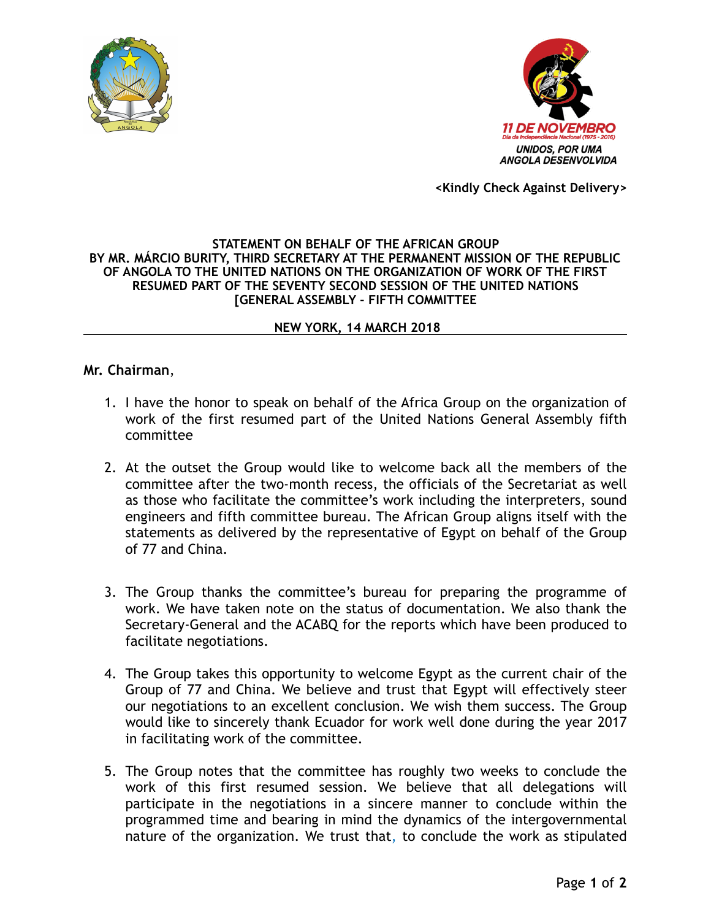



**<Kindly Check Against Delivery>**

#### **STATEMENT ON BEHALF OF THE AFRICAN GROUP BY MR. MÁRCIO BURITY, THIRD SECRETARY AT THE PERMANENT MISSION OF THE REPUBLIC OF ANGOLA TO THE UNITED NATIONS ON THE ORGANIZATION OF WORK OF THE FIRST RESUMED PART OF THE SEVENTY SECOND SESSION OF THE UNITED NATIONS [GENERAL ASSEMBLY - FIFTH COMMITTEE**

### **NEW YORK, 14 MARCH 2018**

## **Mr. Chairman**,

- 1. I have the honor to speak on behalf of the Africa Group on the organization of work of the first resumed part of the United Nations General Assembly fifth committee
- 2. At the outset the Group would like to welcome back all the members of the committee after the two-month recess, the officials of the Secretariat as well as those who facilitate the committee's work including the interpreters, sound engineers and fifth committee bureau. The African Group aligns itself with the statements as delivered by the representative of Egypt on behalf of the Group of 77 and China.
- 3. The Group thanks the committee's bureau for preparing the programme of work. We have taken note on the status of documentation. We also thank the Secretary-General and the ACABQ for the reports which have been produced to facilitate negotiations.
- 4. The Group takes this opportunity to welcome Egypt as the current chair of the Group of 77 and China. We believe and trust that Egypt will effectively steer our negotiations to an excellent conclusion. We wish them success. The Group would like to sincerely thank Ecuador for work well done during the year 2017 in facilitating work of the committee.
- 5. The Group notes that the committee has roughly two weeks to conclude the work of this first resumed session. We believe that all delegations will participate in the negotiations in a sincere manner to conclude within the programmed time and bearing in mind the dynamics of the intergovernmental nature of the organization. We trust that, to conclude the work as stipulated